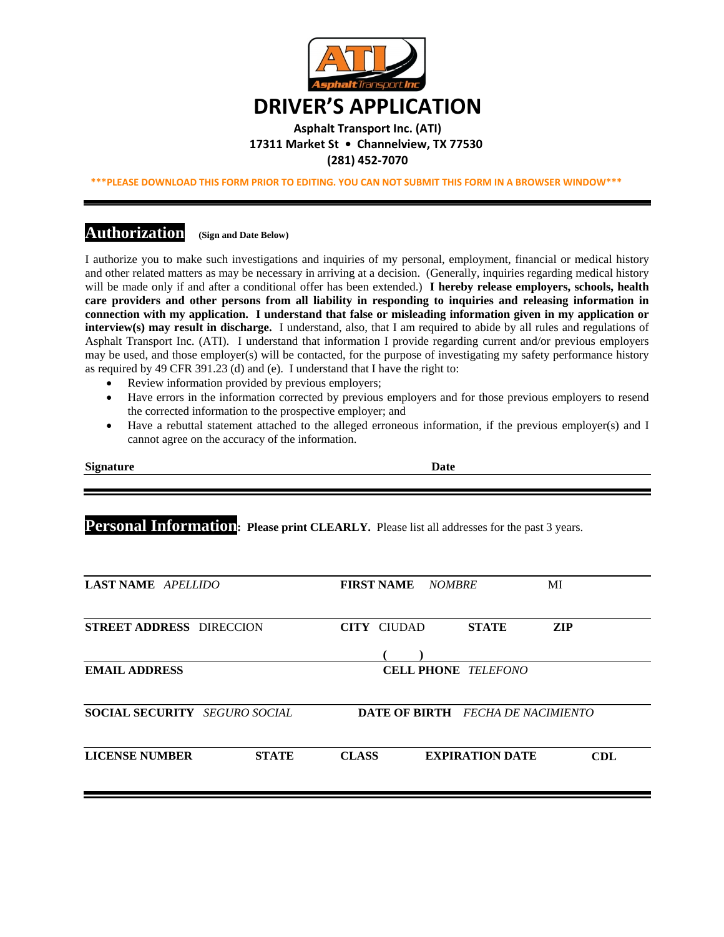

#### **Asphalt Transport Inc. (ATI) 17311 Market St • Channelview, TX 77530 (281) 452‐7070**

**\*\*\*PLEASE DOWNLOAD THIS FORM PRIOR TO EDITING. YOU CAN NOT SUBMIT THIS FORM IN A BROWSER WINDOW\*\*\***

### **Authorization (Sign and Date Below)**

I authorize you to make such investigations and inquiries of my personal, employment, financial or medical history and other related matters as may be necessary in arriving at a decision. (Generally, inquiries regarding medical history will be made only if and after a conditional offer has been extended.) **I hereby release employers, schools, health care providers and other persons from all liability in responding to inquiries and releasing information in connection with my application. I understand that false or misleading information given in my application or interview(s) may result in discharge.** I understand, also, that I am required to abide by all rules and regulations of Asphalt Transport Inc. (ATI). I understand that information I provide regarding current and/or previous employers may be used, and those employer(s) will be contacted, for the purpose of investigating my safety performance history as required by 49 CFR 391.23 (d) and (e). I understand that I have the right to:

- Review information provided by previous employers;
- Have errors in the information corrected by previous employers and for those previous employers to resend the corrected information to the prospective employer; and
- Have a rebuttal statement attached to the alleged erroneous information, if the previous employer(s) and I cannot agree on the accuracy of the information.

| Date |
|------|
|      |

**Personal Information:** Please print CLEARLY. Please list all addresses for the past 3 years.

| <b>LAST NAME</b> APELLIDO             | <b>FIRST NAME</b><br>МI<br><i>NOMBRE</i>             |  |  |  |
|---------------------------------------|------------------------------------------------------|--|--|--|
| <b>STREET ADDRESS DIRECCION</b>       | <b>ZIP</b><br><b>CITY CIUDAD</b><br><b>STATE</b>     |  |  |  |
|                                       |                                                      |  |  |  |
| <b>EMAIL ADDRESS</b>                  | <b>CELL PHONE</b> TELEFONO                           |  |  |  |
| <b>SOCIAL SECURITY</b> SEGURO SOCIAL  |                                                      |  |  |  |
|                                       | <b>DATE OF BIRTH</b> FECHA DE NACIMIENTO             |  |  |  |
| <b>LICENSE NUMBER</b><br><b>STATE</b> | <b>CLASS</b><br><b>EXPIRATION DATE</b><br><b>CDL</b> |  |  |  |
|                                       |                                                      |  |  |  |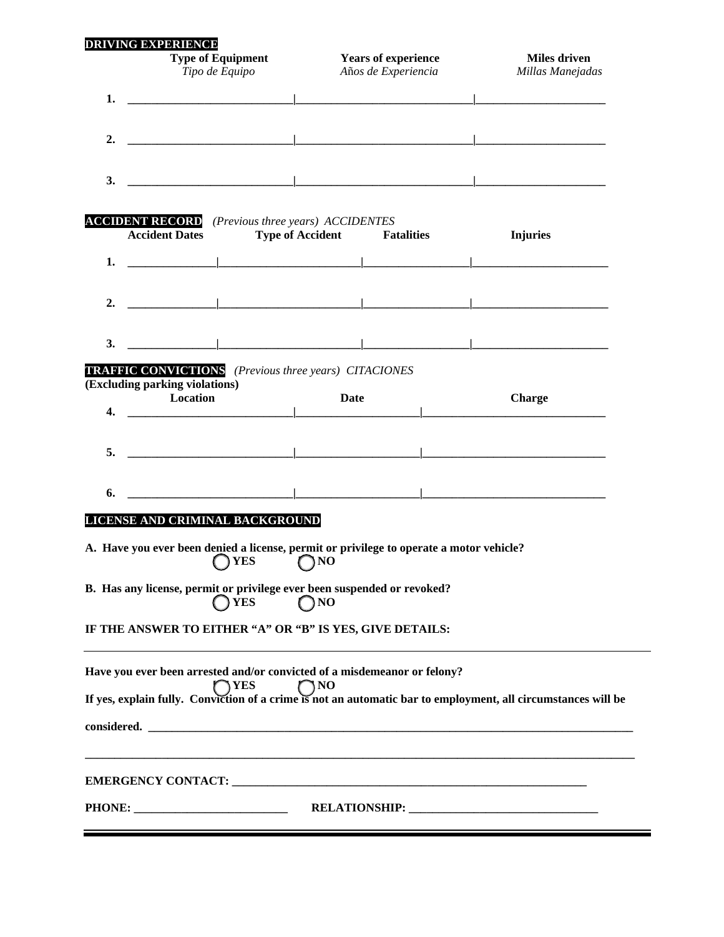| <b>DRIVING EXPERIENCE</b>                                                                                             |                                                                                                 |             |                                         |  |
|-----------------------------------------------------------------------------------------------------------------------|-------------------------------------------------------------------------------------------------|-------------|-----------------------------------------|--|
|                                                                                                                       | <b>Type of Equipment</b><br><b>Years of experience</b><br>Tipo de Equipo<br>Años de Experiencia |             | <b>Miles driven</b><br>Millas Manejadas |  |
| 1.<br>the contract of the contract of the contract of the contract of the contract of the contract of the contract of |                                                                                                 |             |                                         |  |
| 2.                                                                                                                    |                                                                                                 |             |                                         |  |
| 3.                                                                                                                    |                                                                                                 |             |                                         |  |
| <b>ACCIDENT RECORD</b> (Previous three years) ACCIDENTES<br><b>Accident Dates</b>                                     | <b>Type of Accident Fatalities</b>                                                              |             | <b>Injuries</b>                         |  |
| the contract of the contract of the contract of the contract of<br>1.                                                 |                                                                                                 |             |                                         |  |
| <u> 1989 - Johann Stoff, Amerikaansk politiker (</u><br>2.                                                            |                                                                                                 |             |                                         |  |
| 3.                                                                                                                    |                                                                                                 |             |                                         |  |
| <b>TRAFFIC CONVICTIONS</b> (Previous three years) CITACIONES<br>(Excluding parking violations)                        |                                                                                                 |             |                                         |  |
| Location<br>$\overline{4}$ .                                                                                          |                                                                                                 | <b>Date</b> | <b>Charge</b>                           |  |
| the contract of the contract of the contract of the contract of the contract of<br>5.                                 |                                                                                                 |             |                                         |  |
| 6.                                                                                                                    |                                                                                                 |             |                                         |  |
| LICENSE AND CRIMINAL BACKGROUND                                                                                       |                                                                                                 |             |                                         |  |
| A. Have you ever been denied a license, permit or privilege to operate a motor vehicle?<br>$OYES$ $ONO$               |                                                                                                 |             |                                         |  |
| B. Has any license, permit or privilege ever been suspended or revoked?<br>$\bigcap$ YES                              | $\bigcap$ NO                                                                                    |             |                                         |  |
| IF THE ANSWER TO EITHER "A" OR "B" IS YES, GIVE DETAILS:                                                              |                                                                                                 |             |                                         |  |
| Have you ever been arrested and/or convicted of a misdemeanor or felony?<br><b>TYES</b>                               | $\bigcap$ NO                                                                                    |             |                                         |  |
| If yes, explain fully. Conviction of a crime is not an automatic bar to employment, all circumstances will be         |                                                                                                 |             |                                         |  |
|                                                                                                                       |                                                                                                 |             |                                         |  |
|                                                                                                                       |                                                                                                 |             |                                         |  |
|                                                                                                                       |                                                                                                 |             |                                         |  |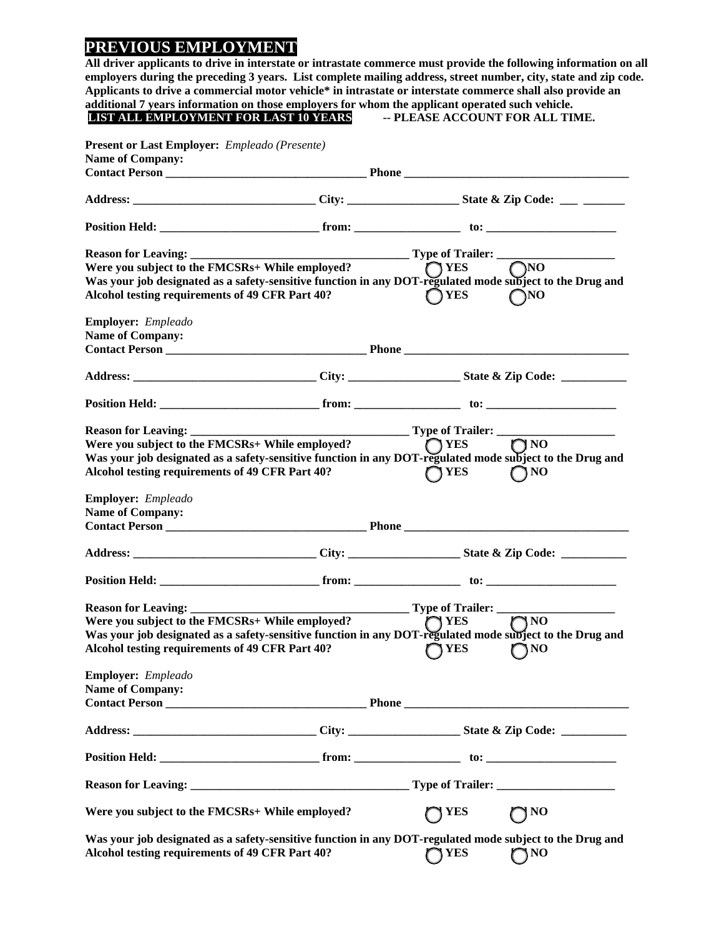## **PREVIOUS EMPLOYMENT**

**All driver applicants to drive in interstate or intrastate commerce must provide the following information on all employers during the preceding 3 years. List complete mailing address, street number, city, state and zip code. Applicants to drive a commercial motor vehicle\* in intrastate or interstate commerce shall also provide an additional 7 years information on those employers for whom the applicant operated such vehicle.**<br> **LIST ALL EMPLOYMENT FOR LAST 10 YEARS** - PLEASE ACCOUNT FOR ALL TIME. **LIST ALL EMPLOYMENT FOR LAST 10 YEARS** 

| <b>Name of Company:</b>                                                                                                                                                                                                              |               |                  |
|--------------------------------------------------------------------------------------------------------------------------------------------------------------------------------------------------------------------------------------|---------------|------------------|
|                                                                                                                                                                                                                                      |               |                  |
|                                                                                                                                                                                                                                      |               |                  |
| Reason for Leaving: Type of Trailer: Type of Trailer: Ware you subject to the FMCSRs+ While employed?                                                                                                                                |               |                  |
| Were you subject to the FMCSRs+ While employed?<br>Was your job designated as a safety-sensitive function in any DOT-regulated mode subject to the Drug and                                                                          |               |                  |
|                                                                                                                                                                                                                                      |               |                  |
| Alcohol testing requirements of 49 CFR Part 40?                                                                                                                                                                                      | $\bigcap$ YES | $\bigcap$ NO     |
| <b>Employer:</b> Empleado                                                                                                                                                                                                            |               |                  |
| <b>Name of Company:</b>                                                                                                                                                                                                              |               |                  |
|                                                                                                                                                                                                                                      |               |                  |
|                                                                                                                                                                                                                                      |               |                  |
|                                                                                                                                                                                                                                      |               |                  |
| Type of Trailer:<br>Were you subject to the FMCSRs+ While employed?<br>Was your ish designated                                                                                                                                       |               |                  |
|                                                                                                                                                                                                                                      |               |                  |
| Was your job designated as a safety-sensitive function in any DOT-regulated mode subject to the Drug and                                                                                                                             |               |                  |
| Alcohol testing requirements of 49 CFR Part 40?                                                                                                                                                                                      | $\bigcap$ YES | $\bigcap$ NO     |
| <b>Employer:</b> Empleado                                                                                                                                                                                                            |               |                  |
| <b>Name of Company:</b>                                                                                                                                                                                                              |               |                  |
| <b>Contact Person Contact Person Contact Person Contact Person Contact Person Contact Person Contact Person Contact Person Contact Person Contact Person Contact Person Contact Person Contact Person Contact Person Contact Per</b> |               |                  |
|                                                                                                                                                                                                                                      |               |                  |
|                                                                                                                                                                                                                                      |               |                  |
|                                                                                                                                                                                                                                      |               |                  |
|                                                                                                                                                                                                                                      |               |                  |
| Were you subject to the FMCSRs+ While employed?                                                                                                                                                                                      |               | $\overline{O}NO$ |
| Were you subject to the FMCSRs+ While employed?<br>Was your job designated as a safety-sensitive function in any DOT-regulated mode subject to the Drug and                                                                          |               |                  |
| Alcohol testing requirements of 49 CFR Part 40?                                                                                                                                                                                      | <b>TYES</b>   | $\bigcap$ NO     |
| Employer: Empleado                                                                                                                                                                                                                   |               |                  |
| <b>Name of Company:</b>                                                                                                                                                                                                              |               |                  |
| <b>Contact Person Contact Person Contact Person Contact Person Contact Person Contact Person Contact Person Contact Person Contact Person Contact Person Contact Person Contact Person Contact Person Contact Person Contact Per</b> |               |                  |
| Address: __________________________________City: ______________________State & Zip Code: ___________                                                                                                                                 |               |                  |
|                                                                                                                                                                                                                                      |               |                  |
|                                                                                                                                                                                                                                      |               |                  |
| Were you subject to the FMCSRs+ While employed?                                                                                                                                                                                      | <b>YES</b>    | ] NO             |
| Was your job designated as a safety-sensitive function in any DOT-regulated mode subject to the Drug and<br>Alcohol testing requirements of 49 CFR Part 40?                                                                          | $\bigcap$ YES | $\bigcap NO$     |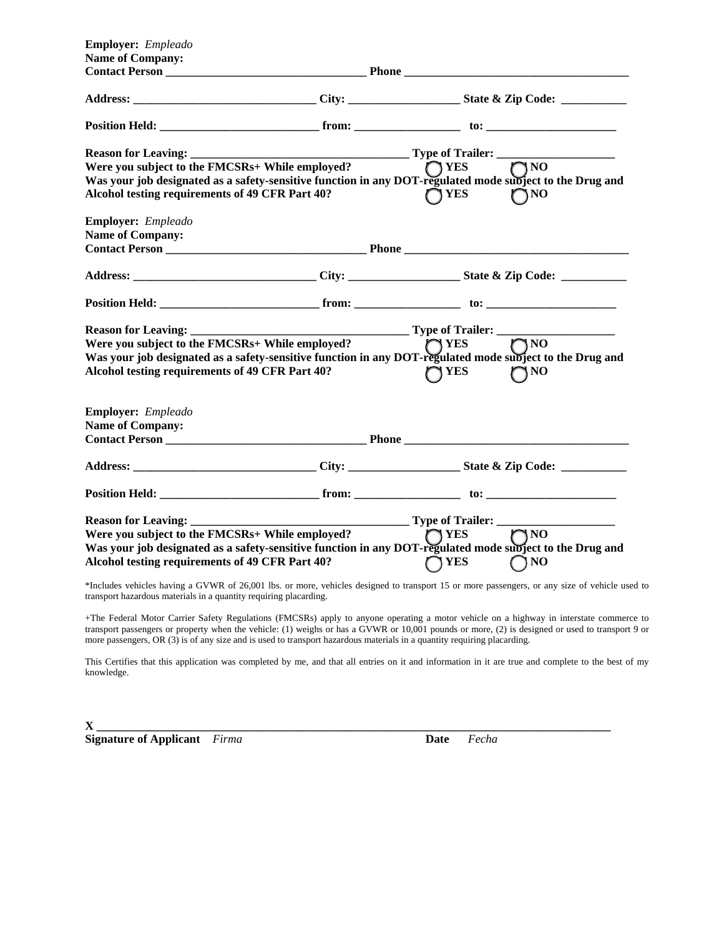| <b>Employer:</b> Empleado                                                                                                                                                                                                            |  |                                         |              |
|--------------------------------------------------------------------------------------------------------------------------------------------------------------------------------------------------------------------------------------|--|-----------------------------------------|--------------|
| <b>Name of Company:</b>                                                                                                                                                                                                              |  |                                         |              |
|                                                                                                                                                                                                                                      |  |                                         |              |
|                                                                                                                                                                                                                                      |  |                                         |              |
|                                                                                                                                                                                                                                      |  |                                         |              |
|                                                                                                                                                                                                                                      |  |                                         |              |
| Were you subject to the FMCSRs+ While employed?                                                                                                                                                                                      |  | $\bigcirc$ YES                          | $\bigcap$ NO |
| Was your job designated as a safety-sensitive function in any DOT-regulated mode subject to the Drug and                                                                                                                             |  |                                         |              |
| Alcohol testing requirements of 49 CFR Part 40?                                                                                                                                                                                      |  | YES <sup>T</sup>                        | <b>SNO</b>   |
| <b>Employer:</b> Empleado                                                                                                                                                                                                            |  |                                         |              |
| <b>Name of Company:</b>                                                                                                                                                                                                              |  |                                         |              |
| <b>Contact Person Contact Person Contact Person Contact Person Contact Person Contact Person Contact Person Contact Person Contact Person Contact Person Contact Person Contact Person Contact Person Contact Person Contact Per</b> |  |                                         |              |
|                                                                                                                                                                                                                                      |  |                                         |              |
|                                                                                                                                                                                                                                      |  |                                         |              |
|                                                                                                                                                                                                                                      |  |                                         |              |
| Were you subject to the FMCSRs+ While employed?                                                                                                                                                                                      |  | $\bigcap$ YES                           | $\n  0$      |
| Was your job designated as a safety-sensitive function in any DOT-regulated mode subject to the Drug and                                                                                                                             |  |                                         |              |
| Alcohol testing requirements of 49 CFR Part 40?                                                                                                                                                                                      |  | 8 YES                                   | \NO          |
| Employer: Empleado                                                                                                                                                                                                                   |  |                                         |              |
| <b>Name of Company:</b>                                                                                                                                                                                                              |  |                                         |              |
| <b>Contact Person Contact Person Contact Person Contact Person Contact Person Contact Person Contact Person Contact Person Contact Person Contact Person Contact Person Contact Person Contact Person Contact Person Contact Per</b> |  |                                         |              |
|                                                                                                                                                                                                                                      |  |                                         |              |
|                                                                                                                                                                                                                                      |  |                                         |              |
| <b>Reason for Leaving:</b>                                                                                                                                                                                                           |  | ________________ Type of Trailer: _____ |              |
| Were you subject to the FMCSRs+ While employed?                                                                                                                                                                                      |  | $\bigcap$ YES                           | <b>ONF</b>   |
| Was your job designated as a safety-sensitive function in any DOT-regulated mode subject to the Drug and<br>Alcohol testing requirements of 49 CFR Part 40?                                                                          |  | YES                                     | $\bigcap$ NO |

\*Includes vehicles having a GVWR of 26,001 lbs. or more, vehicles designed to transport 15 or more passengers, or any size of vehicle used to transport hazardous materials in a quantity requiring placarding.

+The Federal Motor Carrier Safety Regulations (FMCSRs) apply to anyone operating a motor vehicle on a highway in interstate commerce to transport passengers or property when the vehicle: (1) weighs or has a GVWR or 10,001 pounds or more, (2) is designed or used to transport 9 or more passengers, OR (3) is of any size and is used to transport hazardous materials in a quantity requiring placarding.

This Certifies that this application was completed by me, and that all entries on it and information in it are true and complete to the best of my knowledge.

**X \_\_\_\_\_\_\_\_\_\_\_\_\_\_\_\_\_\_\_\_\_\_\_\_\_\_\_\_\_\_\_\_\_\_\_\_\_\_\_\_\_\_\_\_\_\_\_\_\_\_\_\_\_\_\_\_\_\_\_\_\_\_\_\_\_\_\_\_\_\_\_\_\_\_\_\_\_\_\_\_\_\_\_\_\_\_\_ Signature of Applicant** *Firma* **Date** *Fecha*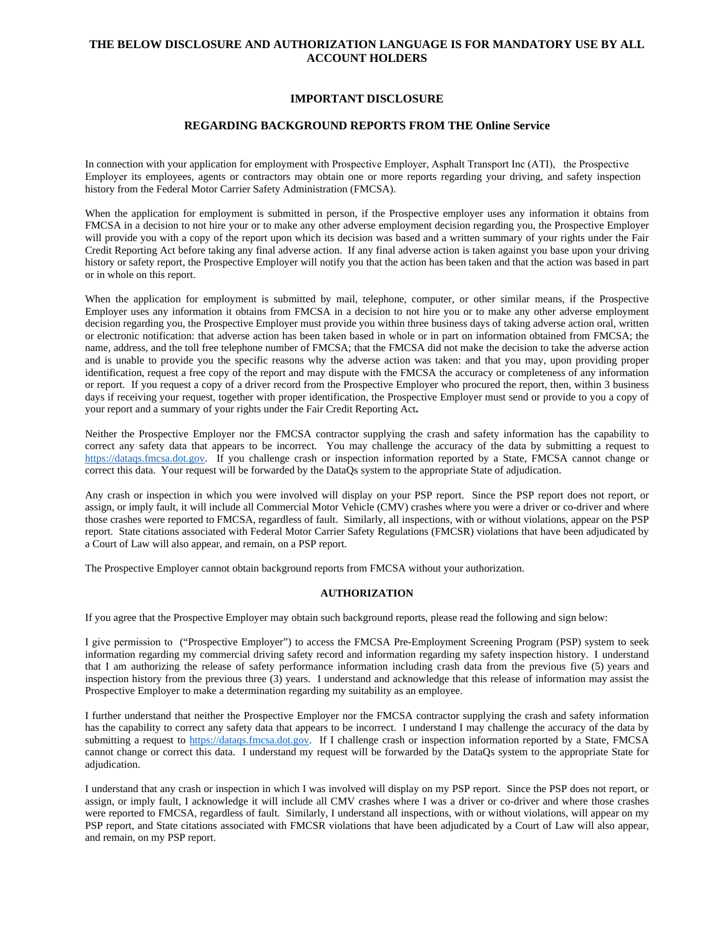#### **THE BELOW DISCLOSURE AND AUTHORIZATION LANGUAGE IS FOR MANDATORY USE BY ALL ACCOUNT HOLDERS**

#### **IMPORTANT DISCLOSURE**

#### **REGARDING BACKGROUND REPORTS FROM THE Online Service**

In connection with your application for employment with Prospective Employer, Asphalt Transport Inc (ATI), the Prospective Employer its employees, agents or contractors may obtain one or more reports regarding your driving, and safety inspection history from the Federal Motor Carrier Safety Administration (FMCSA).

When the application for employment is submitted in person, if the Prospective employer uses any information it obtains from FMCSA in a decision to not hire your or to make any other adverse employment decision regarding you, the Prospective Employer will provide you with a copy of the report upon which its decision was based and a written summary of your rights under the Fair Credit Reporting Act before taking any final adverse action. If any final adverse action is taken against you base upon your driving history or safety report, the Prospective Employer will notify you that the action has been taken and that the action was based in part or in whole on this report.

When the application for employment is submitted by mail, telephone, computer, or other similar means, if the Prospective Employer uses any information it obtains from FMCSA in a decision to not hire you or to make any other adverse employment decision regarding you, the Prospective Employer must provide you within three business days of taking adverse action oral, written or electronic notification: that adverse action has been taken based in whole or in part on information obtained from FMCSA; the name, address, and the toll free telephone number of FMCSA; that the FMCSA did not make the decision to take the adverse action and is unable to provide you the specific reasons why the adverse action was taken: and that you may, upon providing proper identification, request a free copy of the report and may dispute with the FMCSA the accuracy or completeness of any information or report. If you request a copy of a driver record from the Prospective Employer who procured the report, then, within 3 business days if receiving your request, together with proper identification, the Prospective Employer must send or provide to you a copy of your report and a summary of your rights under the Fair Credit Reporting Act**.** 

Neither the Prospective Employer nor the FMCSA contractor supplying the crash and safety information has the capability to correct any safety data that appears to be incorrect. You may challenge the accuracy of the data by submitting a request to https://dataqs.fmcsa.dot.gov. If you challenge crash or inspection information reported by a State, FMCSA cannot change or correct this data. Your request will be forwarded by the DataQs system to the appropriate State of adjudication.

Any crash or inspection in which you were involved will display on your PSP report. Since the PSP report does not report, or assign, or imply fault, it will include all Commercial Motor Vehicle (CMV) crashes where you were a driver or co-driver and where those crashes were reported to FMCSA, regardless of fault. Similarly, all inspections, with or without violations, appear on the PSP report. State citations associated with Federal Motor Carrier Safety Regulations (FMCSR) violations that have been adjudicated by a Court of Law will also appear, and remain, on a PSP report.

The Prospective Employer cannot obtain background reports from FMCSA without your authorization.

#### **AUTHORIZATION**

If you agree that the Prospective Employer may obtain such background reports, please read the following and sign below:

I give permission to ("Prospective Employer") to access the FMCSA Pre-Employment Screening Program (PSP) system to seek information regarding my commercial driving safety record and information regarding my safety inspection history. I understand that I am authorizing the release of safety performance information including crash data from the previous five (5) years and inspection history from the previous three (3) years. I understand and acknowledge that this release of information may assist the Prospective Employer to make a determination regarding my suitability as an employee.

I further understand that neither the Prospective Employer nor the FMCSA contractor supplying the crash and safety information has the capability to correct any safety data that appears to be incorrect. I understand I may challenge the accuracy of the data by submitting a request to https://dataqs.fmcsa.dot.gov. If I challenge crash or inspection information reported by a State, FMCSA cannot change or correct this data. I understand my request will be forwarded by the DataQs system to the appropriate State for adjudication.

I understand that any crash or inspection in which I was involved will display on my PSP report. Since the PSP does not report, or assign, or imply fault, I acknowledge it will include all CMV crashes where I was a driver or co-driver and where those crashes were reported to FMCSA, regardless of fault. Similarly, I understand all inspections, with or without violations, will appear on my PSP report, and State citations associated with FMCSR violations that have been adjudicated by a Court of Law will also appear, and remain, on my PSP report.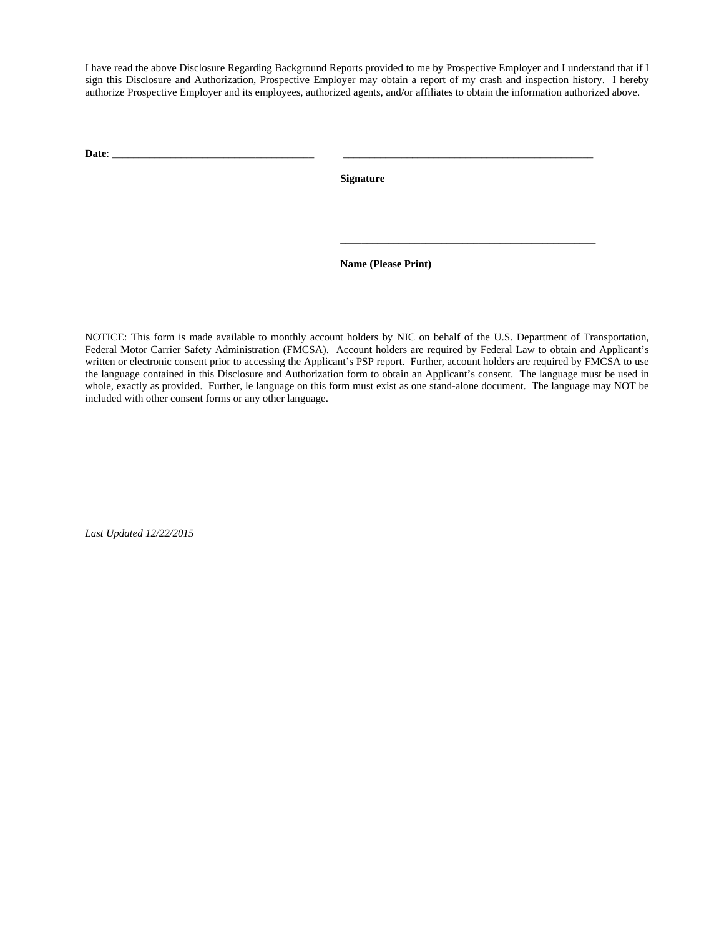I have read the above Disclosure Regarding Background Reports provided to me by Prospective Employer and I understand that if I sign this Disclosure and Authorization, Prospective Employer may obtain a report of my crash and inspection history. I hereby authorize Prospective Employer and its employees, authorized agents, and/or affiliates to obtain the information authorized above.

**Date**: \_\_\_\_\_\_\_\_\_\_\_\_\_\_\_\_\_\_\_\_\_\_\_\_\_\_\_\_\_\_\_\_\_\_\_\_\_\_ \_\_\_\_\_\_\_\_\_\_\_\_\_\_\_\_\_\_\_\_\_\_\_\_\_\_\_\_\_\_\_\_\_\_\_\_\_\_\_\_\_\_\_\_\_\_\_

**Signature** 

**Name (Please Print)** 

\_\_\_\_\_\_\_\_\_\_\_\_\_\_\_\_\_\_\_\_\_\_\_\_\_\_\_\_\_\_\_\_\_\_\_\_\_\_\_\_\_\_\_\_\_\_\_\_

NOTICE: This form is made available to monthly account holders by NIC on behalf of the U.S. Department of Transportation, Federal Motor Carrier Safety Administration (FMCSA). Account holders are required by Federal Law to obtain and Applicant's written or electronic consent prior to accessing the Applicant's PSP report. Further, account holders are required by FMCSA to use the language contained in this Disclosure and Authorization form to obtain an Applicant's consent. The language must be used in whole, exactly as provided. Further, le language on this form must exist as one stand-alone document. The language may NOT be included with other consent forms or any other language.

*Last Updated 12/22/2015*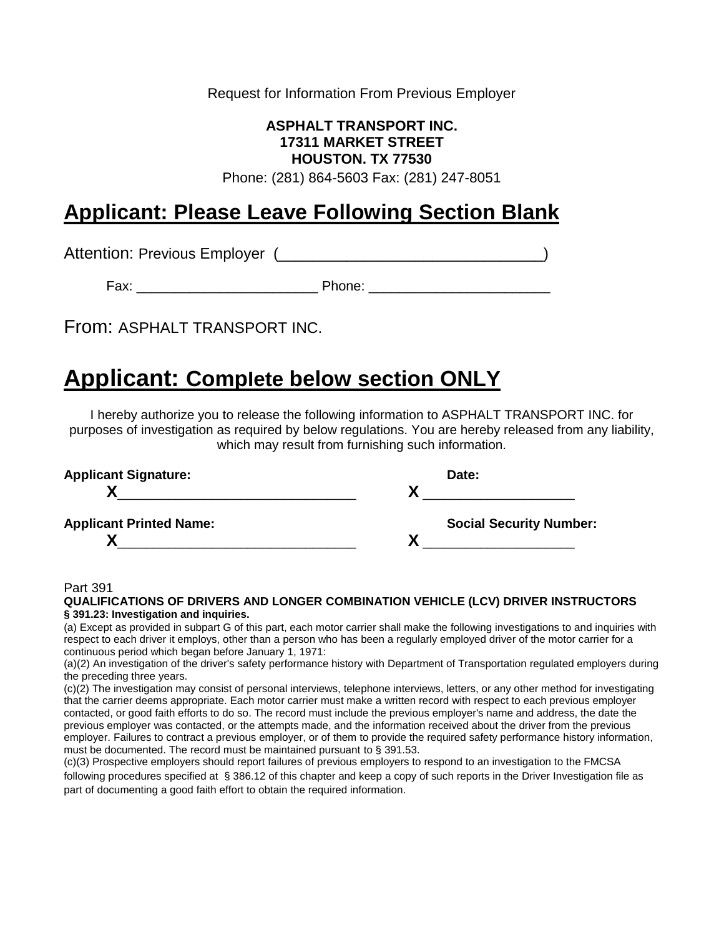Request for Information From Previous Employer

### **ASPHALT TRANSPORT INC. 17311 MARKET STREET HOUSTON. TX 77530**

Phone: (281) 864-5603 Fax: (281) 247-8051

## **Applicant: Please Leave Following Section Blank**

Attention: Previous Employer (
and the contract of the contract of the contract of the contract of the contract of the contract of the contract of the contract of the contract of the contract of the contract of the contrac

Fax: \_\_\_\_\_\_\_\_\_\_\_\_\_\_\_\_\_\_\_\_\_\_\_\_ Phone: \_\_\_\_\_\_\_\_\_\_\_\_\_\_\_\_\_\_\_\_\_\_\_\_

From: ASPHALT TRANSPORT INC.

## **Applicant: CompIete below section ONLY**

I hereby authorize you to release the following information to ASPHALT TRANSPORT INC. for purposes of investigation as required by below regulations. You are hereby released from any liability, which may result from furnishing such information.

| <b>Applicant Signature:</b>    | Date:                          |  |
|--------------------------------|--------------------------------|--|
|                                |                                |  |
| <b>Applicant Printed Name:</b> | <b>Social Security Number:</b> |  |
|                                |                                |  |

#### Part 391

| QUALIFICATIONS OF DRIVERS AND LONGER COMBINATION VEHICLE (LCV) DRIVER INSTRUCTORS |  |
|-----------------------------------------------------------------------------------|--|
| § 391.23: Investigation and inquiries.                                            |  |

(a) Except as provided in subpart G of this part, each motor carrier shall make the following investigations to and inquiries with respect to each driver it employs, other than a person who has been a regularly employed driver of the motor carrier for a continuous period which began before January 1, 1971:

(a)(2) An investigation of the driver's safety performance history with Department of Transportation regulated employers during the preceding three years.

(c)(2) The investigation may consist of personal interviews, telephone interviews, letters, or any other method for investigating that the carrier deems appropriate. Each motor carrier must make a written record with respect to each previous employer contacted, or good faith efforts to do so. The record must include the previous employer's name and address, the date the previous employer was contacted, or the attempts made, and the information received about the driver from the previous employer. Failures to contract a previous employer, or of them to provide the required safety performance history information, must be documented. The record must be maintained pursuant to § 391.53.

(c)(3) Prospective employers should report failures of previous employers to respond to an investigation to the FMCSA following procedures specified at § 386.12 of this chapter and keep a copy of such reports in the Driver Investigation file as part of documenting a good faith effort to obtain the required information.